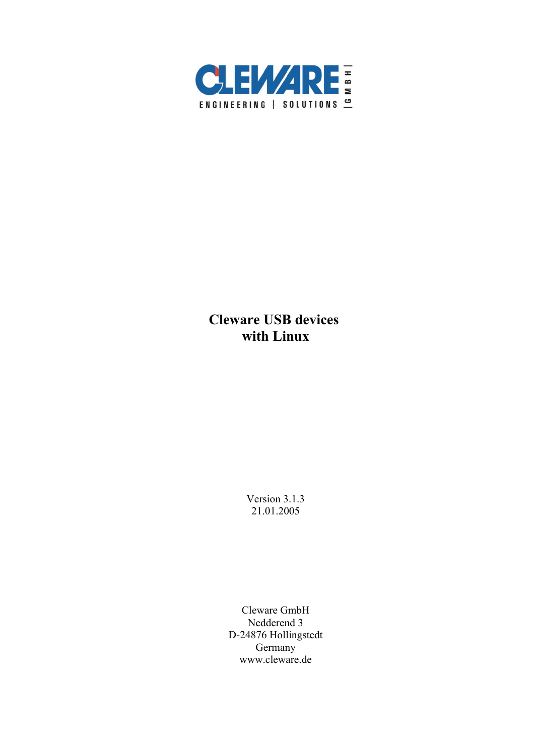

# **Cleware USB devices with Linux**

Version 3.1.3 21.01.2005

Cleware GmbH Nedderend 3 D-24876 Hollingstedt Germany www.cleware.de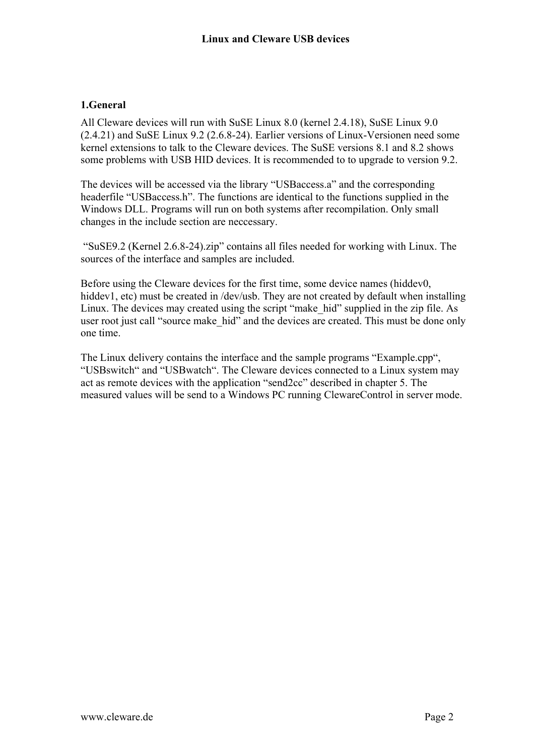# **1.General**

All Cleware devices will run with SuSE Linux 8.0 (kernel 2.4.18), SuSE Linux 9.0 (2.4.21) and SuSE Linux 9.2 (2.6.8-24). Earlier versions of Linux-Versionen need some kernel extensions to talk to the Cleware devices. The SuSE versions 8.1 and 8.2 shows some problems with USB HID devices. It is recommended to to upgrade to version 9.2.

The devices will be accessed via the library "USBaccess.a" and the corresponding headerfile "USBaccess.h". The functions are identical to the functions supplied in the Windows DLL. Programs will run on both systems after recompilation. Only small changes in the include section are neccessary.

 "SuSE9.2 (Kernel 2.6.8-24).zip" contains all files needed for working with Linux. The sources of the interface and samples are included.

Before using the Cleware devices for the first time, some device names (hiddev0, hiddev1, etc) must be created in /dev/usb. They are not created by default when installing Linux. The devices may created using the script "make\_hid" supplied in the zip file. As user root just call "source make hid" and the devices are created. This must be done only one time.

The Linux delivery contains the interface and the sample programs "Example.cpp", "USBswitch" and "USBwatch". The Cleware devices connected to a Linux system may act as remote devices with the application "send2cc" described in chapter 5. The measured values will be send to a Windows PC running ClewareControl in server mode.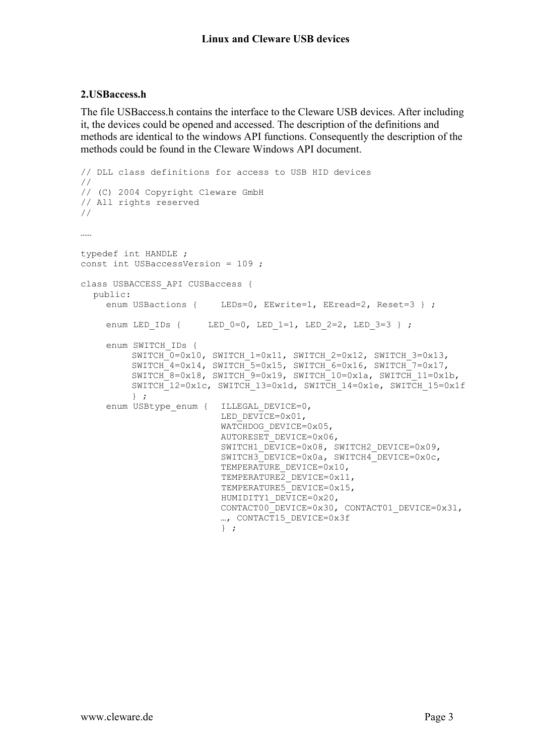#### **2.USBaccess.h**

The file USBaccess.h contains the interface to the Cleware USB devices. After including it, the devices could be opened and accessed. The description of the definitions and methods are identical to the windows API functions. Consequently the description of the methods could be found in the Cleware Windows API document.

```
// DLL class definitions for access to USB HID devices
//
// (C) 2004 Copyright Cleware GmbH
// All rights reserved
//
……
typedef int HANDLE ;
const int USBaccessVersion = 109 ;
class USBACCESS_API CUSBaccess {
  public:
    enum USBactions { LEDs=0, EEwrite=1, EEread=2, Reset=3 } ;
    enum LED IDs { LED 0=0, LED 1=1, LED 2=2, LED 3=3 } ;
    enum SWITCH_IDs {
         SWITCH 0=0x10, SWITCH 1=0x11, SWITCH 2=0x12, SWITCH 3=0x13,
         SWITCH4=0x14, SWITCH5=0x15, SWITCH6=0x16, SWITCH7=0x17,
         SWITCH 8=0x18, SWITCH 9=0x19, SWITCH 10=0x1a, SWITCH 11=0x1b,
         SWITCH<sup>-12=0x1c, SWITCH 13=0x1d, SWITCH 14=0x1e, SWITCH 15=0x1f</sup>
         } ;
    enum USBtype enum { ILLEGAL DEVICE=0,
                          LED_DEVICE=0x01,
                          WATCHDOG DEVICE=0x05,
                          AUTORESET DEVICE=0x06,
                          SWITCH1_DEVICE=0x08, SWITCH2_DEVICE=0x09,
                          SWITCH3_DEVICE=0x0a, SWITCH4_DEVICE=0x0c,
                          TEMPERATURE DEVICE=0x10,
                          TEMPERATURE<sub>2</sub> DEVICE=0x11,
                           TEMPERATURE5_DEVICE=0x15,
                          HUMIDITY1_DEVICE=0x20,
                          CONTACT00_DEVICE=0x30, CONTACT01_DEVICE=0x31,
                          …, CONTACT15 DEVICE=0x3f
                          } ;
```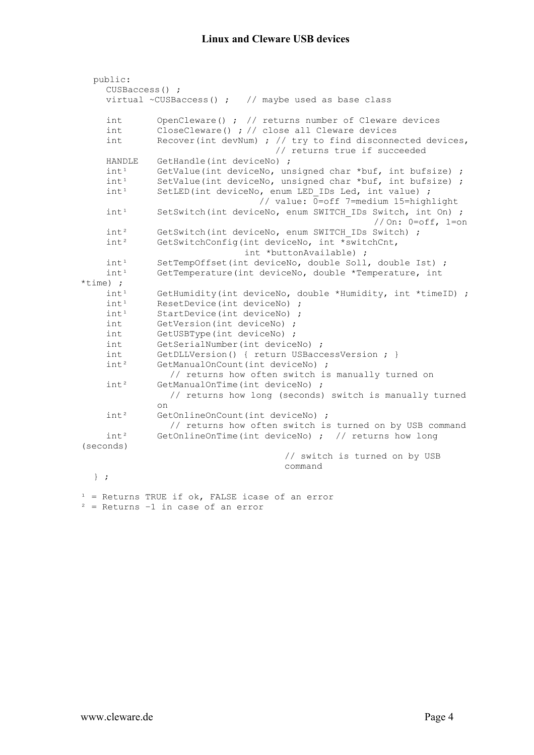| public:<br>$CUSBaccess()$ ; |                                                                                               |
|-----------------------------|-----------------------------------------------------------------------------------------------|
|                             | virtual ~CUSBaccess() ; $\frac{1}{2}$ maybe used as base class                                |
| int                         | OpenCleware() ; $\frac{1}{2}$ returns number of Cleware devices                               |
| int                         | CloseCleware() ; // close all Cleware devices                                                 |
| int                         | Recover (int devNum) ; $//$ try to find disconnected devices,<br>// returns true if succeeded |
| HANDLE                      | GetHandle(int deviceNo) ;                                                                     |
| int <sup>1</sup>            | GetValue(int deviceNo, unsigned char *buf, int bufsize) ;                                     |
| int <sup>1</sup>            | SetValue(int deviceNo, unsigned char *buf, int bufsize) ;                                     |
| int <sup>1</sup>            | SetLED(int deviceNo, enum LED IDs Led, int value) ;<br>// value: 0=off 7=medium 15=highlight  |
| int <sup>1</sup>            | SetSwitch (int deviceNo, enum SWITCH IDs Switch, int On) ;<br>//On: $0=$ off, $1=$ on         |
| int <sup>2</sup>            | GetSwitch(int deviceNo, enum SWITCH IDs Switch) ;                                             |
| int <sup>2</sup>            | GetSwitchConfig(int deviceNo, int *switchCnt,<br>int *buttonAvailable) ;                      |
| int <sup>1</sup>            | SetTempOffset(int deviceNo, double Soll, double Ist) ;                                        |
| int <sup>1</sup>            | GetTemperature(int deviceNo, double *Temperature, int                                         |
| $*time)$ ;                  |                                                                                               |
| int <sup>1</sup>            | GetHumidity (int deviceNo, double *Humidity, int *timeID) ;                                   |
| int <sup>1</sup>            | ResetDevice(int deviceNo) ;                                                                   |
| int <sup>1</sup>            | StartDevice(int deviceNo) ;                                                                   |
| int                         | GetVersion(int deviceNo) ;                                                                    |
| int                         | GetUSBType(int deviceNo) ;                                                                    |
| int                         | GetSerialNumber(int deviceNo) ;                                                               |
| int                         | GetDLLVersion() { return USBaccessVersion ; }                                                 |
| $int^2$                     | GetManualOnCount(int deviceNo) ;                                                              |
|                             | // returns how often switch is manually turned on                                             |
| int <sup>2</sup>            | GetManualOnTime(int deviceNo) ;                                                               |
|                             | // returns how long (seconds) switch is manually turned<br>on                                 |
| $int^2$                     | GetOnlineOnCount(int deviceNo) ;                                                              |
|                             | // returns how often switch is turned on by USB command                                       |
| $int^2$                     | GetOnlineOnTime(int deviceNo) ; // returns how long                                           |
| (seconds)                   |                                                                                               |
|                             | // switch is turned on by USB                                                                 |
|                             | command                                                                                       |
| $\}$ ;                      |                                                                                               |
|                             | $1$ = Returns TRUE if ok, FALSE icase of an error                                             |

 $2$  = Returns  $-1$  in case of an error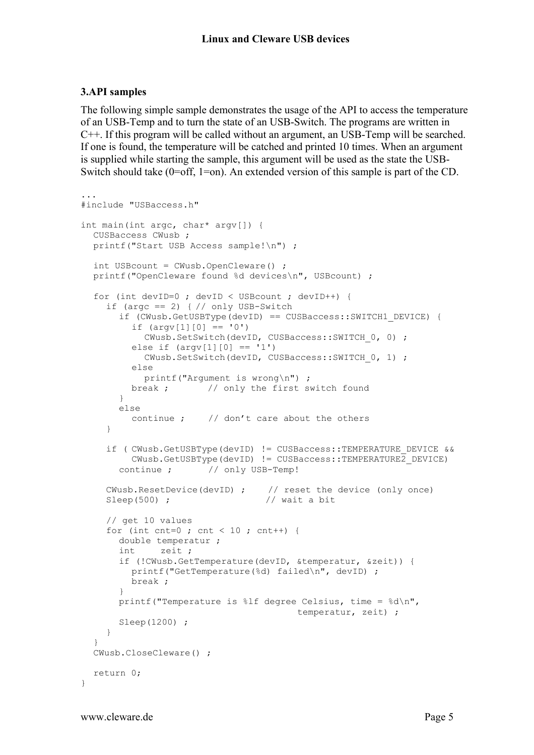## **3.API samples**

The following simple sample demonstrates the usage of the API to access the temperature of an USB-Temp and to turn the state of an USB-Switch. The programs are written in C++. If this program will be called without an argument, an USB-Temp will be searched. If one is found, the temperature will be catched and printed 10 times. When an argument is supplied while starting the sample, this argument will be used as the state the USB-Switch should take (0=off, 1=on). An extended version of this sample is part of the CD.

```
...
#include "USBaccess.h"
int main(int argc, char* argv[]) {
  CUSBaccess CWusb ;
  printf("Start USB Access sample!\n") ;
  int USBcount = CWusb.OpenCleware() ;
  printf("OpenCleware found %d devices\n", USBcount) ;
  for (int devID=0 ; devID < USBcount ; devID++) {
    if (argc == 2) \frac{1}{2} // only USB-Switch
       if (CWusb.GetUSBType(devID) == CUSBaccess::SWITCH1_DEVICE) {
         if (\text{arqu}[1][0] == '0')CWusb.SetSwitch(devID, CUSBaccess::SWITCH_0, 0) ;
         else if (\arg v[1][0] == '1')CWusb.SetSwitch(devID, CUSBaccess::SWITCH_0, 1) ;
         else
           printf("Argument is wrong\n") ;
         break ; \frac{1}{2} only the first switch found
       }
       else
         continue ; // don't care about the others
     }
    if ( CWusb.GetUSBType(devID) != CUSBaccess::TEMPERATURE DEVICE &&
         CWusb.GetUSBType(devID) != CUSBaccess::TEMPERATURE2_DEVICE)
       continue ; // only USB-Temp!
    CWusb.ResetDevice(devID) ; // reset the device (only once)
    Sleep(500) ; \frac{1}{2} // wait a bit
    // get 10 values
    for (int cnt=0 ; cnt < 10 ; cnt++) {
       double temperatur ;
       int zeit ;
       if (!CWusb.GetTemperature(devID, &temperatur, &zeit)) {
         printf("GetTemperature(%d) failed\n", devID) ;
         break ;
       }
       printf("Temperature is %lf degree Celsius, time = %d\n", 
                                        temperatur, zeit) ;
       Sleep(1200) ;
    }
  }
  CWusb.CloseCleware() ;
  return 0;
}
```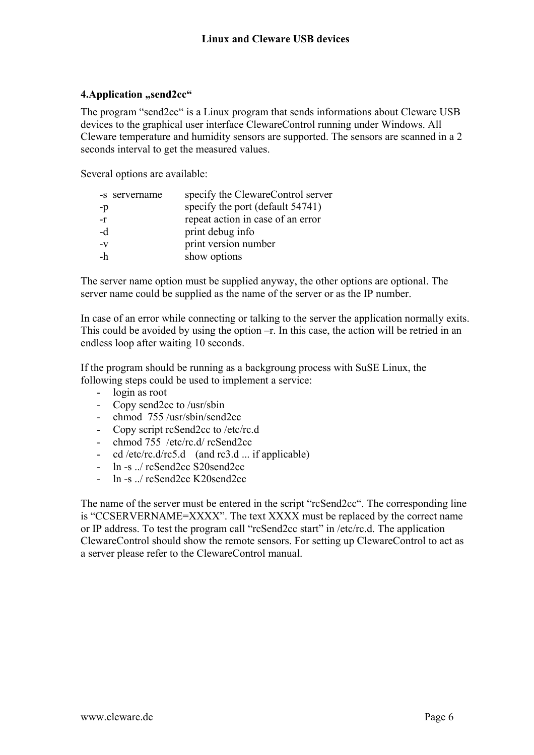## **4.Application "send2cc"**

The program "send2cc" is a Linux program that sends informations about Cleware USB devices to the graphical user interface ClewareControl running under Windows. All Cleware temperature and humidity sensors are supported. The sensors are scanned in a 2 seconds interval to get the measured values.

Several options are available:

| -s servername | specify the ClewareControl server |
|---------------|-----------------------------------|
| -p            | specify the port (default 54741)  |
| -r            | repeat action in case of an error |
| -d            | print debug info                  |
| $-V$          | print version number              |
| -h            | show options                      |

The server name option must be supplied anyway, the other options are optional. The server name could be supplied as the name of the server or as the IP number.

In case of an error while connecting or talking to the server the application normally exits. This could be avoided by using the option –r. In this case, the action will be retried in an endless loop after waiting 10 seconds.

If the program should be running as a backgroung process with SuSE Linux, the following steps could be used to implement a service:

- login as root
- Copy send2cc to /usr/sbin
- chmod 755 /usr/sbin/send2cc
- Copy script rcSend2cc to /etc/rc.d
- chmod 755 /etc/rc.d/ rcSend2cc
- cd /etc/rc.d/rc5.d (and  $rc3.d$  ... if applicable)
- ln -s ../ rcSend2cc S20send2cc
- $-$  ln  $-$ s / rcSend2cc K20send2cc

The name of the server must be entered in the script "rcSend2cc". The corresponding line is "CCSERVERNAME=XXXX". The text XXXX must be replaced by the correct name or IP address. To test the program call "rcSend2cc start" in /etc/rc.d. The application ClewareControl should show the remote sensors. For setting up ClewareControl to act as a server please refer to the ClewareControl manual.